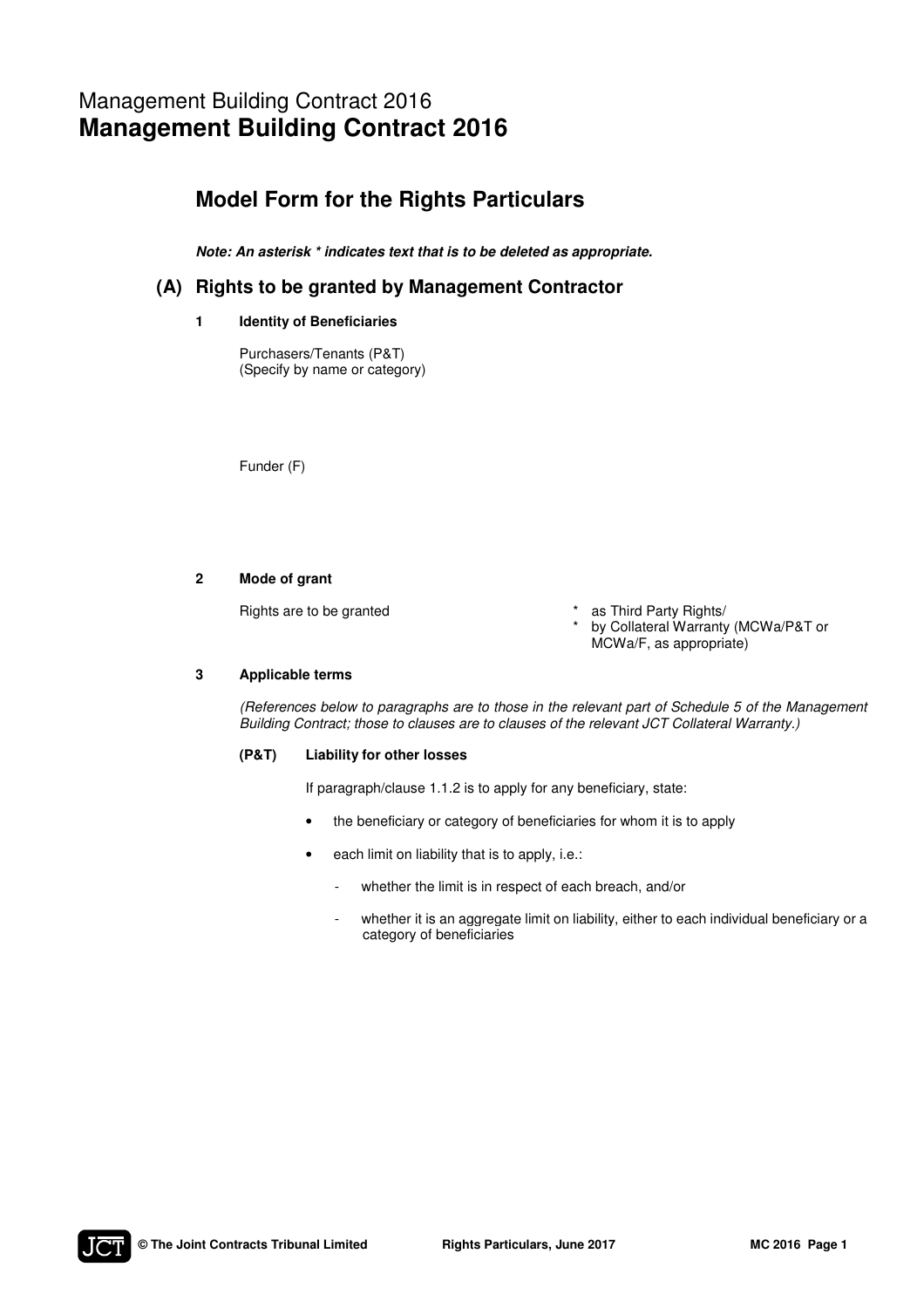# Management Building Contract 2016 **Management Building Contract 2016**

## **Model Form for the Rights Particulars**

*Note: An asterisk \* indicates text that is to be deleted as appropriate.* 

### **(A) Rights to be granted by Management Contractor**

### **1 Identity of Beneficiaries**

Purchasers/Tenants (P&T) (Specify by name or category)

Funder (F)

#### **2 Mode of grant**

Rights are to be granted

- as Third Party Rights/
- by Collateral Warranty (MCWa/P&T or MCWa/F, as appropriate)

#### **3 Applicable terms**

(References below to paragraphs are to those in the relevant part of Schedule 5 of the Management Building Contract; those to clauses are to clauses of the relevant JCT Collateral Warranty.)

\*

#### **(P&T) Liability for other losses**

If paragraph/clause 1.1.2 is to apply for any beneficiary, state:

- the beneficiary or category of beneficiaries for whom it is to apply
- each limit on liability that is to apply, i.e.:
	- whether the limit is in respect of each breach, and/or
	- whether it is an aggregate limit on liability, either to each individual beneficiary or a category of beneficiaries